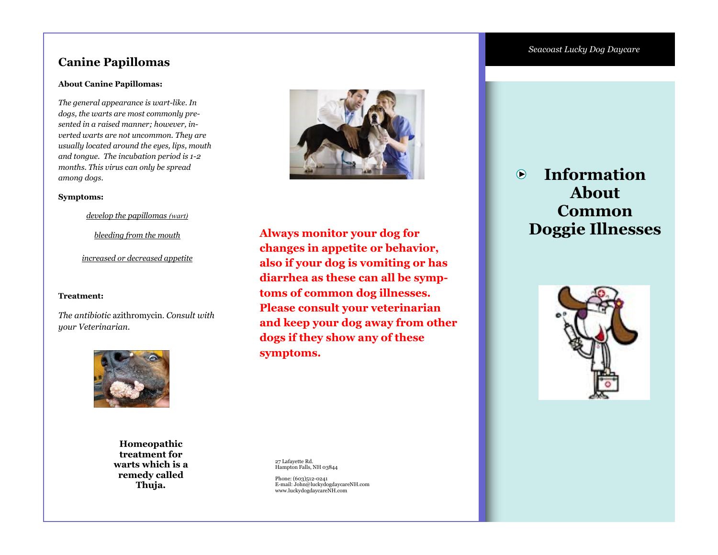## **Canine Papillomas**

### **About Canine Papillomas:**

*The general appearance is wart-like. In dogs, the warts are most commonly presented in a raised manner; however, inverted warts are not uncommon. They are usually located around the eyes, lips, mouth and tongue. The incubation period is 1-2 months. This virus can only be spread among dogs.* 

### **Symptoms:**

*develop the papillomas (wart)*

*bleeding from the mouth*

### *increased or decreased appetite*

### **Treatment:**

*The antibiotic* [azithromycin](http://www.marvistavet.com/html/body_azithromycin.html). *Consult with your Veterinarian.* 



**Homeopathic treatment for warts which is a remedy called Thuja.**



**Always monitor your dog for changes in appetite or behavior, also if your dog is vomiting or has diarrhea as these can all be symptoms of common dog illnesses. Please consult your veterinarian and keep your dog away from other dogs if they show any of these symptoms.** 

27 Lafayette Rd. Hampton Falls, NH 03844

Phone: (603)512-0241 E-mail: John@luckydogdaycareNH.com www.luckydogdaycareNH.com